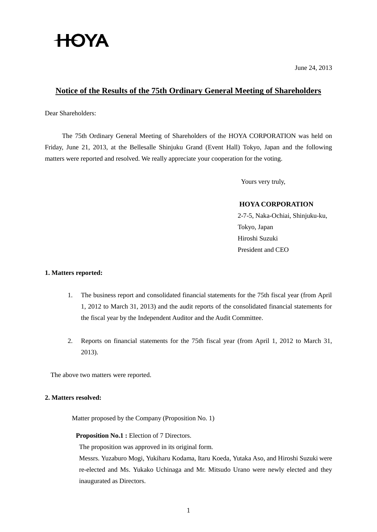# **HOYA**

June 24, 2013

# **Notice of the Results of the 75th Ordinary General Meeting of Shareholders**

Dear Shareholders:

The 75th Ordinary General Meeting of Shareholders of the HOYA CORPORATION was held on Friday, June 21, 2013, at the Bellesalle Shinjuku Grand (Event Hall) Tokyo, Japan and the following matters were reported and resolved. We really appreciate your cooperation for the voting.

Yours very truly,

## **HOYA CORPORATION**

2-7-5, Naka-Ochiai, Shinjuku-ku, Tokyo, Japan Hiroshi Suzuki President and CEO

## **1. Matters reported:**

- 1. The business report and consolidated financial statements for the 75th fiscal year (from April 1, 2012 to March 31, 2013) and the audit reports of the consolidated financial statements for the fiscal year by the Independent Auditor and the Audit Committee.
- 2. Reports on financial statements for the 75th fiscal year (from April 1, 2012 to March 31, 2013).

The above two matters were reported.

#### **2. Matters resolved:**

Matter proposed by the Company (Proposition No. 1)

#### **Proposition No.1 :** Election of 7 Directors.

The proposition was approved in its original form.

Messrs. Yuzaburo Mogi, Yukiharu Kodama, Itaru Koeda, Yutaka Aso, and Hiroshi Suzuki were re-elected and Ms. Yukako Uchinaga and Mr. Mitsudo Urano were newly elected and they inaugurated as Directors.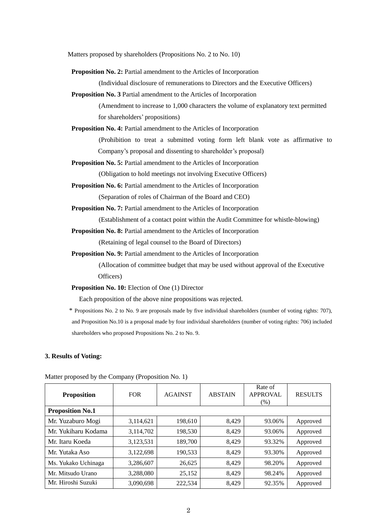Matters proposed by shareholders (Propositions No. 2 to No. 10)

**Proposition No. 2:** Partial amendment to the Articles of Incorporation

(Individual disclosure of remunerations to Directors and the Executive Officers)

**Proposition No. 3** Partial amendment to the Articles of Incorporation

(Amendment to increase to 1,000 characters the volume of explanatory text permitted for shareholders' propositions)

**Proposition No. 4:** Partial amendment to the Articles of Incorporation

(Prohibition to treat a submitted voting form left blank vote as affirmative to Company's proposal and dissenting to shareholder's proposal)

**Proposition No. 5:** Partial amendment to the Articles of Incorporation

(Obligation to hold meetings not involving Executive Officers)

**Proposition No. 6:** Partial amendment to the Articles of Incorporation

(Separation of roles of Chairman of the Board and CEO)

**Proposition No. 7:** Partial amendment to the Articles of Incorporation

(Establishment of a contact point within the Audit Committee for whistle-blowing)

**Proposition No. 8:** Partial amendment to the Articles of Incorporation

(Retaining of legal counsel to the Board of Directors)

**Proposition No. 9:** Partial amendment to the Articles of Incorporation

(Allocation of committee budget that may be used without approval of the Executive Officers)

**Proposition No. 10:** Election of One (1) Director

Each proposition of the above nine propositions was rejected.

\* Propositions No. 2 to No. 9 are proposals made by five individual shareholders (number of voting rights: 707), and Proposition No.10 is a proposal made by four individual shareholders (number of voting rights: 706) included shareholders who proposed Propositions No. 2 to No. 9.

#### **3. Results of Voting:**

| <b>Proposition</b>      | <b>FOR</b> | <b>AGAINST</b> | <b>ABSTAIN</b> | Rate of<br><b>APPROVAL</b><br>$(\%)$ | <b>RESULTS</b> |
|-------------------------|------------|----------------|----------------|--------------------------------------|----------------|
| <b>Proposition No.1</b> |            |                |                |                                      |                |
| Mr. Yuzaburo Mogi       | 3,114,621  | 198,610        | 8.429          | 93.06%                               | Approved       |
| Mr. Yukiharu Kodama     | 3,114,702  | 198,530        | 8,429          | 93.06%                               | Approved       |
| Mr. Itaru Koeda         | 3,123,531  | 189,700        | 8,429          | 93.32%                               | Approved       |
| Mr. Yutaka Aso          | 3,122,698  | 190,533        | 8,429          | 93.30%                               | Approved       |
| Ms. Yukako Uchinaga     | 3,286,607  | 26,625         | 8.429          | 98.20%                               | Approved       |
| Mr. Mitsudo Urano       | 3,288,080  | 25,152         | 8,429          | 98.24%                               | Approved       |
| Mr. Hiroshi Suzuki      | 3,090,698  | 222,534        | 8,429          | 92.35%                               | Approved       |

Matter proposed by the Company (Proposition No. 1)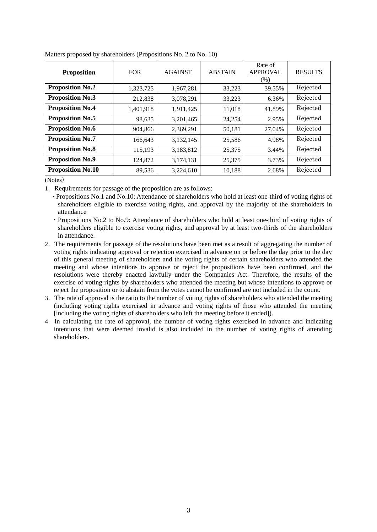| <b>Proposition</b>       | <b>FOR</b> | <b>AGAINST</b> | <b>ABSTAIN</b> | Rate of<br><b>APPROVAL</b><br>(% ) | <b>RESULTS</b> |
|--------------------------|------------|----------------|----------------|------------------------------------|----------------|
| <b>Proposition No.2</b>  | 1,323,725  | 1,967,281      | 33,223         | 39.55%                             | Rejected       |
| <b>Proposition No.3</b>  | 212,838    | 3,078,291      | 33,223         | 6.36%                              | Rejected       |
| <b>Proposition No.4</b>  | 1,401,918  | 1,911,425      | 11.018         | 41.89%                             | Rejected       |
| <b>Proposition No.5</b>  | 98,635     | 3,201,465      | 24,254         | 2.95%                              | Rejected       |
| <b>Proposition No.6</b>  | 904,866    | 2,369,291      | 50,181         | 27.04%                             | Rejected       |
| <b>Proposition No.7</b>  | 166,643    | 3,132,145      | 25,586         | 4.98%                              | Rejected       |
| <b>Proposition No.8</b>  | 115,193    | 3,183,812      | 25,375         | 3.44%                              | Rejected       |
| <b>Proposition No.9</b>  | 124,872    | 3,174,131      | 25,375         | 3.73%                              | Rejected       |
| <b>Proposition No.10</b> | 89,536     | 3,224,610      | 10,188         | 2.68%                              | Rejected       |

Matters proposed by shareholders (Propositions No. 2 to No. 10)

(Notes)

1.Requirements for passage of the proposition are as follows:

・Propositions No.1 and No.10: Attendance of shareholders who hold at least one-third of voting rights of shareholders eligible to exercise voting rights, and approval by the majority of the shareholders in attendance

・Propositions No.2 to No.9: Attendance of shareholders who hold at least one-third of voting rights of shareholders eligible to exercise voting rights, and approval by at least two-thirds of the shareholders in attendance.

- 2.The requirements for passage of the resolutions have been met as a result of aggregating the number of voting rights indicating approval or rejection exercised in advance on or before the day prior to the day of this general meeting of shareholders and the voting rights of certain shareholders who attended the meeting and whose intentions to approve or reject the propositions have been confirmed, and the resolutions were thereby enacted lawfully under the Companies Act. Therefore, the results of the exercise of voting rights by shareholders who attended the meeting but whose intentions to approve or reject the proposition or to abstain from the votes cannot be confirmed are not included in the count.
- 3.The rate of approval is the ratio to the number of voting rights of shareholders who attended the meeting (including voting rights exercised in advance and voting rights of those who attended the meeting [including the voting rights of shareholders who left the meeting before it ended]).
- 4.In calculating the rate of approval, the number of voting rights exercised in advance and indicating intentions that were deemed invalid is also included in the number of voting rights of attending shareholders.